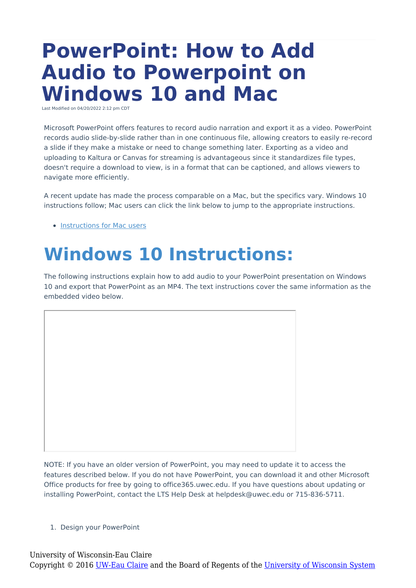# **PowerPoint: How to Add Audio to Powerpoint on Windows 10 and Mac**

Last Modified on 04/20/2022 2:12 pm CDT

Microsoft PowerPoint offers features to record audio narration and export it as a video. PowerPoint records audio slide-by-slide rather than in one continuous file, allowing creators to easily re-record a slide if they make a mistake or need to change something later. Exporting as a video and uploading to Kaltura or Canvas for streaming is advantageous since it standardizes file types, doesn't require a download to view, is in a format that can be captioned, and allows viewers to navigate more efficiently.

A recent update has made the process comparable on a Mac, but the specifics vary. Windows 10 instructions follow; Mac users can click the link below to jump to the appropriate instructions.

• [Instructions](http://kb.uwec.edu/#MAC) for Mac users

## **Windows 10 Instructions:**

The following instructions explain how to add audio to your PowerPoint presentation on Windows 10 and export that PowerPoint as an MP4. The text instructions cover the same information as the embedded video below.

NOTE: If you have an older version of PowerPoint, you may need to update it to access the features described below. If you do not have PowerPoint, you can download it and other Microsoft Office products for free by going to office365.uwec.edu. If you have questions about updating or installing PowerPoint, contact the LTS Help Desk at helpdesk@uwec.edu or 715-836-5711.

1. Design your PowerPoint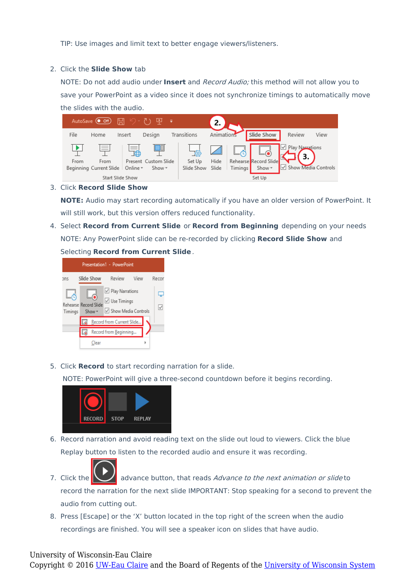TIP: Use images and limit text to better engage viewers/listeners.

#### 2. Click the **Slide Show** tab

NOTE: Do not add audio under **Insert** and Record Audio; this method will not allow you to save your PowerPoint as a video since it does not synchronize timings to automatically move the slides with the audio.



3. Click **Record Slide Show**

**NOTE:** Audio may start recording automatically if you have an older version of PowerPoint. It will still work, but this version offers reduced functionality.

4. Select **Record from Current Slide** or **Record from Beginning** depending on your needs NOTE: Any PowerPoint slide can be re-recorded by clicking **Record Slide Show** and Selecting **Record from Current Slide**.



5. Click **Record** to start recording narration for a slide.

NOTE: PowerPoint will give a three-second countdown before it begins recording.



6. Record narration and avoid reading text on the slide out loud to viewers. Click the blue Replay button to listen to the recorded audio and ensure it was recording.



7. Click the  $\sum$  advance button, that reads Advance to the next animation or slide to record the narration for the next slide IMPORTANT: Stop speaking for a second to prevent the audio from cutting out.

8. Press [Escape] or the 'X' button located in the top right of the screen when the audio recordings are finished. You will see a speaker icon on slides that have audio.

### University of Wisconsin-Eau Claire

Copyright © 2016 [UW-Eau Claire](http://www.uwec.edu) and the Board of Regents of the [University of Wisconsin System](http://www.uwsa.edu/)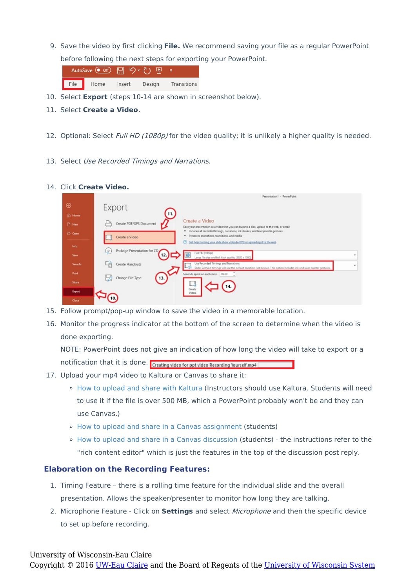9. Save the video by first clicking **File.** We recommend saving your file as a regular PowerPoint before following the next steps for exporting your PowerPoint.

|      | AutoSave (Off) 円 り () |        |        |             |
|------|-----------------------|--------|--------|-------------|
| File | Home                  | Insert | Design | Transitions |

- 10. Select **Export** (steps 10-14 are shown in screenshot below).
- 11. Select **Create a Video**.
- 12. Optional: Select Full HD (1080p) for the video quality; it is unlikely a higher quality is needed.
- 13. Select Use Recorded Timings and Narrations.

#### 14. Click **Create Video.**

|                    | Presentation1 - PowerPoint                                                                                                                                                                                                                            |         |  |  |  |  |
|--------------------|-------------------------------------------------------------------------------------------------------------------------------------------------------------------------------------------------------------------------------------------------------|---------|--|--|--|--|
| ⊛<br><b>∩</b> Home | Export<br>Œ,                                                                                                                                                                                                                                          |         |  |  |  |  |
| New                | Create a Video<br>Create PDF/XPS Document<br>Save your presentation as a video that you can burn to a disc, upload to the web, or email                                                                                                               |         |  |  |  |  |
| <b>D</b> Open      | " Includes all recorded timings, narrations, ink strokes, and laser pointer gestures<br>Preserves animations, transitions, and media<br>Create a Video<br>℗<br>Get help burning your slide show video to DVD or uploading it to the web               |         |  |  |  |  |
| Info<br>Save       | Package Presentation for CD<br>0)<br>Full HD (1080p)<br>12.                                                                                                                                                                                           | ۰       |  |  |  |  |
| Save As            | Large file size and full high quality (1920 x 1080)<br>Use Recorded Timings and Narrations<br>ني<br>آباد<br>Create Handouts<br>Slides without timings will use the default duration (set below). This option includes ink and laser pointer gestures. | $\cdot$ |  |  |  |  |
| Print              | Seconds spent on each slide: 05.00<br>Change File Type<br>13.<br>b                                                                                                                                                                                    |         |  |  |  |  |
| Share<br>Export    | ш<br>14.<br>Create<br>Video                                                                                                                                                                                                                           |         |  |  |  |  |
| Close              |                                                                                                                                                                                                                                                       |         |  |  |  |  |

- 15. Follow prompt/pop-up window to save the video in a memorable location.
- 16. Monitor the progress indicator at the bottom of the screen to determine when the video is done exporting.

NOTE: PowerPoint does not give an indication of how long the video will take to export or a notification that it is done. Creating video for ppt video Recording Yourself.mp4

- 17. Upload your mp4 video to Kaltura or Canvas to share it:
	- o How to upload and share with [Kaltura](http://kb.uwec.edu/help/upload-and-embed-a-video-in-canvas-using-the-rich-content-editor) (Instructors should use Kaltura. Students will need to use it if the file is over 500 MB, which a PowerPoint probably won't be and they can use Canvas.)
	- How to upload and share in a Canvas [assignment](https://www.uwec.edu/kb/article/upload-and-embed-a-video-in-canvas-using-the-rich-content-editor/#embed-in-canvas) (students)
	- How to upload and share in a Canvas [discussion](https://www.uwec.edu/kb/article/upload-and-embed-a-video-in-canvas-using-the-rich-content-editor/#embed-in-canvas) (students) the instructions refer to the "rich content editor" which is just the features in the top of the discussion post reply.

#### **Elaboration on the Recording Features:**

- 1. Timing Feature there is a rolling time feature for the individual slide and the overall presentation. Allows the speaker/presenter to monitor how long they are talking.
- 2. Microphone Feature Click on **Settings** and select Microphone and then the specific device to set up before recording.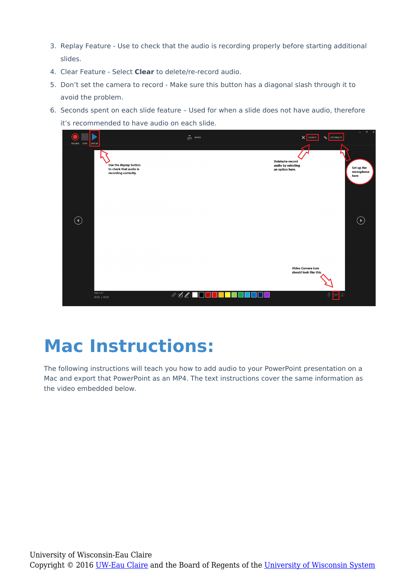- 3. Replay Feature Use to check that the audio is recording properly before starting additional slides.
- 4. Clear Feature Select **Clear** to delete/re-record audio.
- 5. Don't set the camera to record Make sure this button has a diagonal slash through it to avoid the problem.
- 6. Seconds spent on each slide feature Used for when a slide does not have audio, therefore it's recommended to have audio on each slide.



### **Mac Instructions:**

The following instructions will teach you how to add audio to your PowerPoint presentation on a Mac and export that PowerPoint as an MP4. The text instructions cover the same information as the video embedded below.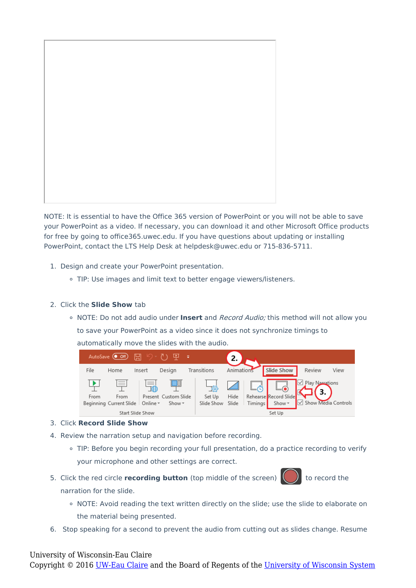

NOTE: It is essential to have the Office 365 version of PowerPoint or you will not be able to save your PowerPoint as a video. If necessary, you can download it and other Microsoft Office products for free by going to office365.uwec.edu. If you have questions about updating or installing PowerPoint, contact the LTS Help Desk at helpdesk@uwec.edu or 715-836-5711.

- 1. Design and create your PowerPoint presentation.
	- TIP: Use images and limit text to better engage viewers/listeners.

### 2. Click the **Slide Show** tab

NOTE: Do not add audio under **Insert** and Record Audio; this method will not allow you to save your PowerPoint as a video since it does not synchronize timings to automatically move the slides with the audio.



- 3. Click **Record Slide Show**
- 4. Review the narration setup and navigation before recording.
	- TIP: Before you begin recording your full presentation, do a practice recording to verify your microphone and other settings are correct.
- 5. Click the red circle **recording button** (top middle of the screen) (a) to record the narration for the slide.
	- o NOTE: Avoid reading the text written directly on the slide; use the slide to elaborate on the material being presented.
- 6. Stop speaking for a second to prevent the audio from cutting out as slides change. Resume

#### University of Wisconsin-Eau Claire

Copyright © 2016 [UW-Eau Claire](http://www.uwec.edu) and the Board of Regents of the [University of Wisconsin System](http://www.uwsa.edu/)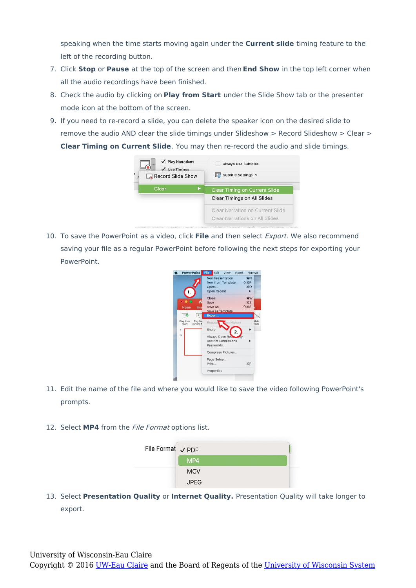speaking when the time starts moving again under the **Current slide** timing feature to the left of the recording button.

- 7. Click **Stop** or **Pause** at the top of the screen and then **End Show** in the top left corner when all the audio recordings have been finished.
- 8. Check the audio by clicking on **Play from Start** under the Slide Show tab or the presenter mode icon at the bottom of the screen.
- 9. If you need to re-record a slide, you can delete the speaker icon on the desired slide to remove the audio AND clear the slide timings under Slideshow > Record Slideshow > Clear > **Clear Timing on Current Slide**. You may then re-record the audio and slide timings.



10. To save the PowerPoint as a video, click **File** and then select Export. We also recommend saving your file as a regular PowerPoint before following the next steps for exporting your **PowerPoint** 



- 11. Edit the name of the file and where you would like to save the video following PowerPoint's prompts.
- 12. Select **MP4** from the File Format options list.



13. Select **Presentation Quality** or **Internet Quality.** Presentation Quality will take longer to export.